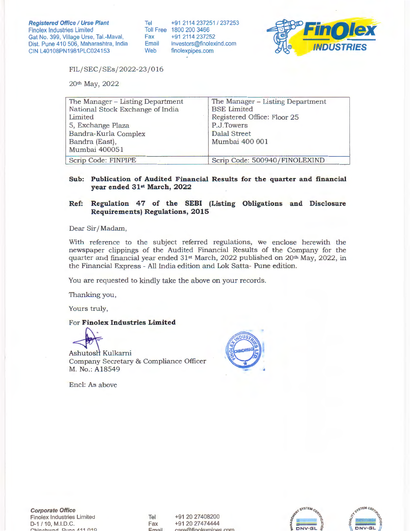Tel +91 2114 237251 / 237253 Toll Free 1800 200 3466<br>Fax +91 2114 23725 Fax +91 2114 237252 investors@finolexind.com Web finolexpipes.com



FIL/ SEC/ SEs/2022-23 / 016

20th May, 2022

| The Manager - Listing Department | The Manager - Listing Department |
|----------------------------------|----------------------------------|
| National Stock Exchange of India | <b>BSE</b> Limited               |
| Limited                          | Registered Office: Floor 25      |
| 5, Exchange Plaza                | P.J.Towers                       |
| Bandra-Kurla Complex             | Dalal Street                     |
| Bandra (East),                   | Mumbai 400 001                   |
| Mumbai 400051                    |                                  |
| Scrip Code: FINPIPE              | Scrip Code: 500940/FINOLEXIND    |

### **Sub: Publication of Audited Financial Results for the quarter and financial year ended 31st March, 2022**

## Ref: Regulation 47 of the SEBI (Listing Obligations and Disclosure **Requirements) Regulations, 2015**

Dear Sir/ Madam,

With reference to the subject referred regulations, we enclose herewith the newspaper clippings of the Audited Financial Results of the Company for the quarter and financial year ended 31<sup>st</sup> March, 2022 published on 20<sup>th</sup> May, 2022, in the Financial Express - All India edition and Lok Satta- Pune edition.

You are requested to kindly take the above on your records.

Thanking you,

Yours truly,

### For **Finolex Industries Limited**



Ashutosh Kulkarni Company Secretary & Compliance Officer M. No.: A18549



Encl: As above

**Corporate Office**  Finolex Industries Limited D-1/10, M.l.D.C. f"hi"""hu1~rl **o, 1no** *A* **11 ()10** 

Tel Fax  $Fma$ 

+91 20 27408200 +91 20 27474444 raro@finnlexn

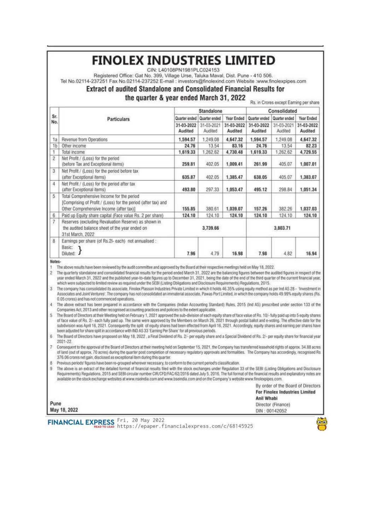# **FINOLEX INDUSTRIES LIMITED**

CIN: L40108PN1981PLC024153

Registered Office: Gat No. 399, Village Urse, Taluka Maval, Dist. Pune - 410 506.

Tel No.02114-237251 Fax No.02114-237252 E-mail : investors@finolexind.com Website :www.finolexpipes.com

# Extract of audited Standalone and Consolidated Financial Results for

the quarter & year ended March 31, 2022

|                  | <b>Particulars</b>                                                                                                                                    | Standalone            |                       |                       | Consolidated          |                       |                       |
|------------------|-------------------------------------------------------------------------------------------------------------------------------------------------------|-----------------------|-----------------------|-----------------------|-----------------------|-----------------------|-----------------------|
| Sr.              |                                                                                                                                                       | Quarter ended         | Quarter ended         | Year Ended            | Quarter ended         | Quarter ended         | Year Ended            |
| No.              |                                                                                                                                                       | 31-03-2022<br>Audited | 31-03-2021<br>Audited | 31-03-2022<br>Audited | 31-03-2022<br>Audited | 31-03-2021<br>Audited | 31-03-2022<br>Audited |
| 1a               | Revenue from Operations                                                                                                                               | 1,594.57              | 1,249.08              | 4,647.32              | 1,594.57              | 1,249.08              | 4.647.32              |
| 1 <sub>b</sub>   | Other income                                                                                                                                          | 24.76                 | 13.54                 | 83.16                 | 24.76                 | 13.54                 | 82.23                 |
|                  | Total income                                                                                                                                          | 1,619.33              | 1,262.62              | 4.730.48              | 1,619.33              | 1,262.62              | 4.729.55              |
| $\overline{2}$   | Net Profit / (Loss) for the period<br>(before Tax and Exceptional items)                                                                              | 259.81                | 402.05                | 1,009.41              | 261.99                | 405.07                | 1,007.01              |
| 3                | Net Profit / (Loss) for the period before tax<br>(after Exceptional items)                                                                            | 635.87                | 402.05                | 1,385.47              | 638.05                | 405.07                | 1,383.07              |
| $\frac{1}{4}$    | Net Profit / (Loss) for the period after tax<br>(after Exceptional items)                                                                             | 493.80                | 297.33                | 1,053.47              | 495.12                | 298.84                | 1,051.34              |
| 5                | Total Comprehensive Income for the period<br>(Comprising of Profit / (Loss) for the period (after tax) and<br>Other Comprehensive Income (after tax)] | 155.85                | 380.61                | 1.039.07              | 157.26                | 382.26                | 1.037.03              |
| 6                | Paid up Equity share capital (Face value Rs. 2 per share)                                                                                             | 124.10                | 124.10                | 124.10                | 124.10                | 124.10                | 124.10                |
| $\boldsymbol{7}$ | Reserves (excluding Revaluation Reserve) as shown in<br>the audited balance sheet of the year ended on<br>31st March, 2022                            | 3,739.66              |                       |                       | 3,803.71              |                       |                       |
| 8                | Earnings per share (of Rs.2I- each) not annualised :<br>Basic:<br>Diluted: J                                                                          | 7.96                  | 4.79                  | 16.98                 | 7.98                  | 4.82                  | 16.94                 |

#### Notes-

The above results have been reviewed by the audit committee and approved by the Board at their respective meetings held on May 18, 2022.

The quarterly standalone and consolidated financial results for the period ended March 31, 2022 are the balancing figures between the audited figures in respect of the year ended March 31, 2022 and the published year-to-date figures up to December 31, 2021, being the date of the end of the third quarter of the current financial year, which were subjected to limited review as required under the SEBI (Listing Obligations and Disclosure Requirements) Regulations, 2015.

The company has consolidated its associate, Finolex Plasson Industries Private Limited in which it holds 46.35% using equity method as per Ind AS 28 - "Investment in Associates and Joint Ventures'. The company has not consolidated an immaterial associate, Pawas Port Limited, in which the company holds 49.99% equity shares (Rs. 0.05 crores) and has not commenced operations.

The above extract has been prepared in accordance with the Companies (Indian Accounting Standard) Rules, 2015 (Ind AS) prescribed under section 133 of the Companies Act, 2013 and other recognised accounting practices and policies to the extent applicable.

The Board of Directors at their Meeting held on February 1, 2021 approved the sub-division of each equity share of face value of Rs. 10/- fully paid up into 5 equity shares of face value of Rs. 2/- each fully paid up. The same were approved by the Members on March 26, 2021 through postal ballot and e-voting. The effective date for the subdivision was April 16, 2021. Consequently the split of equity shares had been effected from April 16, 2021. Accordingly, equity shares and earning per shares have been adjusted for share split in accordance with IND AS 33 'Earning Per Share' for all previous periods.

The Board of Directors have proposed on May 18, 2022, a Final Dividend of Rs. 2/- per equity share and a Special Dividend of Rs. 2/- per equity share tor financial year 2021-22

Consequent to the approval of the Board of Directors at their meeting held on September 15, 2021, the Company has transferred leasehold rights of approx. 34.88 acres of land (out of approx. 70 acres) during the quarter post completion of necessary regulatory approvals and formalities. The Company has accordingly, recognised Rs 376.06 crores net gain, disclosed as exceptional item during this quarter.

Previous periods' figures have been re-grouped wherever necessary, to conform to the current period's classification.

The above is an extract of the detailed format of financial results filed with the stock exchanges under Regulation 33 of the SEBI (Listing Obligations and Disclosure g Requirements) Regulations, 2015 and SEBI circular number CIR/CFD/FAC/62/2016 dated July 5, 2016. The full format of the financial results and explanatory notes are available on the stock exchange websites at www.nseindia.com and www.bseindia.com and on the Company's website www.finolexpipes.com.

By order of the Board of Directors **For Finalex Industries Limited** Anil Whabi

Director (Finance) DIN: 00142052

Pune May 18, 2022

FINANCIAL EXPRESS Fri, 20 May 2022<br>https://epaper.financialexpress.com/c/68145925